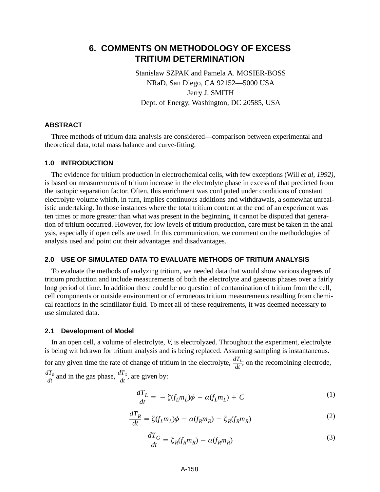# **6. COMMENTS ON METHODOLOGY OF EXCESS TRITIUM DETERMINATION**

Stanislaw SZPAK and Pamela A. MOSIER-BOSS NRaD, San Diego, CA 92152—5000 USA Jerry J. SMITH Dept. of Energy, Washington, DC 20585, USA

## **ABSTRACT**

Three methods of tritium data analysis are considered—comparison between experimental and theoretical data, total mass balance and curve-fitting.

## **1.0 INTRODUCTION**

The evidence for tritium production in electrochemical cells, with few exceptions (Will *et al, 1992),* is based on measurements of tritium increase in the electrolyte phase in excess of that predicted from the isotopic separation factor. Often, this enrichment was con1puted under conditions of constant electrolyte volume which, in turn, implies continuous additions and withdrawals, a somewhat unrealistic undertaking. In those instances where the total tritium content at the end of an experiment was ten times or more greater than what was present in the beginning, it cannot be disputed that generation of tritium occurred. However, for low levels of tritium production, care must be taken in the analysis, especially if open cells are used. In this communication, we comment on the methodologies of analysis used and point out their advantages and disadvantages.

## **2.0 USE OF SIMULATED DATA TO EVALUATE METHODS OF TRITIUM ANALYSIS**

To evaluate the methods of analyzing tritium, we needed data that would show various degrees of tritium production and include measurements of both the electrolyte and gaseous phases over a fairly long period of time. In addition there could be no question of contamination of tritium from the cell, cell components or outside environment or of erroneous tritium measurements resulting from chemical reactions in the scintillator fluid. To meet all of these requirements, it was deemed necessary to use simulated data.

#### **2.1 Development of Model**

In an open cell, a volume of electrolyte, *V*, is electrolyzed. Throughout the experiment, electrolyte is being wit hdrawn for tritium analysis and is being replaced. Assuming sampling is instantaneous. for any given time the rate of change of tritium in the electrolyte,  $\frac{dT_L}{dt}$ ; on the recombining electrode,  $\frac{dT_R}{dt}$  and in the gas phase,  $\frac{dT_G}{dt}$ , are given by:

$$
\frac{dT_L}{dt} = -\zeta(f_L m_L)\phi - \alpha(f_L m_L) + C \tag{1}
$$

$$
\frac{dT_R}{dt} = \zeta(f_L m_L)\phi - \alpha(f_R m_R) - \zeta_R(f_R m_R) \tag{2}
$$

$$
\frac{dT_G}{dt} = \zeta_R(f_R m_R) - \alpha(f_R m_R)
$$
\n(3)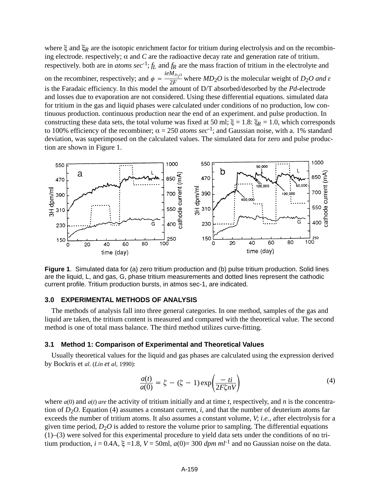where  $\xi$  and  $\xi_R$  are the isotopic enrichment factor for tritium during electrolysis and on the recombining electrode. respectively;  $\alpha$  and *C* are the radioactive decay rate and generation rate of tritium. respectively. both are in *atoms sec*<sup>-1</sup>;  $f_L$  and  $f_R$  are the mass fraction of tritium in the electrolyte and on the recombiner, respectively; and  $\phi = \frac{ieM_{D_2O}}{2F}$  where  $MD_2O$  is the molecular weight of  $D_2O$  and  $\varepsilon$ is the Faradaic efficiency. In this model the amount of D/T absorbed/desorbed by the *Pd*-electrode and losses due to evaporation are not considered. Using these differential equations. simulated data for tritium in the gas and liquid phases were calculated under conditions of no production, low continuous production. continuous production near the end of an experiment. and pulse production. In constructing these data sets, the total volume was fixed at 50 ml;  $\xi = 1.8$ :  $\xi_R = 1.0$ , which corresponds to 100% efficiency of the recombiner;  $\alpha = 250$  *atoms sec*<sup>-1</sup>; and Gaussian noise, with a. 1% standard deviation, was superimposed on the calculated values. The simulated data for zero and pulse production are shown in Figure 1.



**Figure 1**. Simulated data for (a) zero tritium production and (b) pulse tritium production. Solid lines are the liquid, L, and gas, G, phase tritium measurements and dotted lines represent the cathodic current profile. Tritium production bursts, in atmos sec-1, are indicated.

#### **3.0 EXPERIMENTAL METHODS OF ANALYSIS**

The methods of analysis fall into three general categories. In one method, samples of the gas and liquid are taken, the tritium content is measured and compared with the theoretical value. The second method is one of total mass balance. The third method utilizes curve-fitting.

#### **3.1 Method 1: Comparison of Experimental and Theoretical Values**

Usually theoretical values for the liquid and gas phases are calculated using the expression derived by Bockris et *al.* (*Lin et al*, 1990):

$$
\frac{a(t)}{a(0)} = \zeta - (\zeta - 1) \exp\left(\frac{-ti}{2F\zeta nV}\right)
$$
(4)

where *a*(0) and *a*(*t*) *are* the activity of tritium initially and at time *t*, respectively, and *n* is the concentration of  $D_2O$ . Equation (4) assumes a constant current, *i*, and that the number of deuterium atoms far exceeds the number of tritium atoms. It also assumes a constant volume, *V*; *i.e.*, after electrolysis for a given time period,  $D_2O$  is added to restore the volume prior to sampling. The differential equations (1)–(3) were solved for this experimental procedure to yield data sets under the conditions of no tritium production,  $i = 0.4$ A,  $\xi = 1.8$ ,  $V = 50$ ml,  $a(0) = 300$  *dpm ml*<sup>-1</sup> and no Gaussian noise on the data.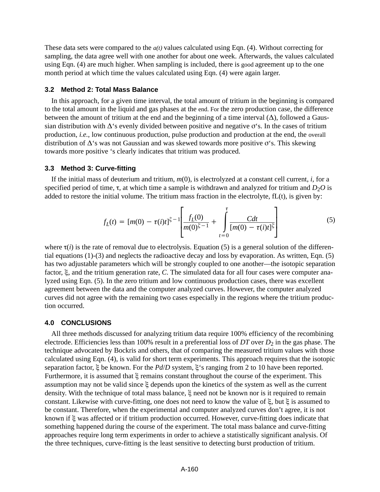These data sets were compared to the *a(t)* values calculated using Eqn. (4). Without correcting for sampling, the data agree well with one another for about one week. Afterwards, the values calculated using Eqn. (4) are much higher. When sampling is included, there is good agreement up to the one month period at which time the values calculated using Eqn. (4) were again larger.

# **3.2 Method 2: Total Mass Balance**

In this approach, for a given time interval, the total amount of tritium in the beginning is compared to the total amount in the liquid and gas phases at the end. For the zero production case, the difference between the amount of tritium at the end and the beginning of a time interval  $(\Delta)$ , followed a Gaussian distribution with  $\Delta$ 's evenly divided between positive and negative  $\sigma$ 's. In the cases of tritium production, *i.e.*, low continuous production, pulse production and production at the end, the overall distribution of  $\Delta$ 's was not Gaussian and was skewed towards more positive  $\sigma$ 's. This skewing towards more positive 's clearly indicates that tritium was produced.

### **3.3 Method 3: Curve-fitting**

If the initial mass of deuterium and tritium, *m*(0), is electrolyzed at a constant cell current, *i*, for a specified period of time,  $\tau$ , at which time a sample is withdrawn and analyzed for tritium and  $D_2O$  is added to restore the initial volume. The tritium mass fraction in the electrolyte, fL(t), is given by:

$$
f_L(t) = [m(0) - \tau(i)t]^{\zeta - 1} \left[ \frac{f_L(0)}{m(0)^{\zeta - 1}} + \int_{t=0}^{\tau} \frac{Cdt}{[m(0) - \tau(i)t]^{\zeta}} \right]
$$
(5)

where  $\tau(i)$  is the rate of removal due to electrolysis. Equation (5) is a general solution of the differential equations (1)-(3) and neglects the radioactive decay and loss by evaporation. As written, Eqn. (5) has two adjustable parameters which will be strongly coupled to one another—the isotopic separation factor,  $\xi$ , and the tritium generation rate, *C*. The simulated data for all four cases were computer analyzed using Eqn. (5). In the zero tritium and low continuous production cases, there was excellent agreement between the data and the computer analyzed curves. However, the computer analyzed curves did not agree with the remaining two cases especially in the regions where the tritium production occurred.

#### **4.0 CONCLUSIONS**

All three methods discussed for analyzing tritium data require 100% efficiency of the recombining electrode. Efficiencies less than 100% result in a preferential loss of *DT* over *D*2 in the gas phase. The technique advocated by Bockris and others, that of comparing the measured tritium values with those calculated using Eqn. (4), is valid for short term experiments. This approach requires that the isotopic separation factor,  $\xi$  be known. For the *Pd/D* system,  $\xi$ 's ranging from 2 to 10 have been reported. Furthermore, it is assumed that  $\xi$  remains constant throughout the course of the experiment. This assumption may not be valid since  $\xi$  depends upon the kinetics of the system as well as the current density. With the technique of total mass balance,  $\xi$  need not be known nor is it required to remain constant. Likewise with curve-fitting, one does not need to know the value of  $\xi$ , but  $\xi$  is assumed to be constant. Therefore, when the experimental and computer analyzed curves don't agree, it is not known if  $\xi$  was affected or if tritium production occurred. However, curve-fitting does indicate that something happened during the course of the experiment. The total mass balance and curve-fitting approaches require long term experiments in order to achieve a statistically significant analysis. Of the three techniques, curve-fitting is the least sensitive to detecting burst production of tritium.